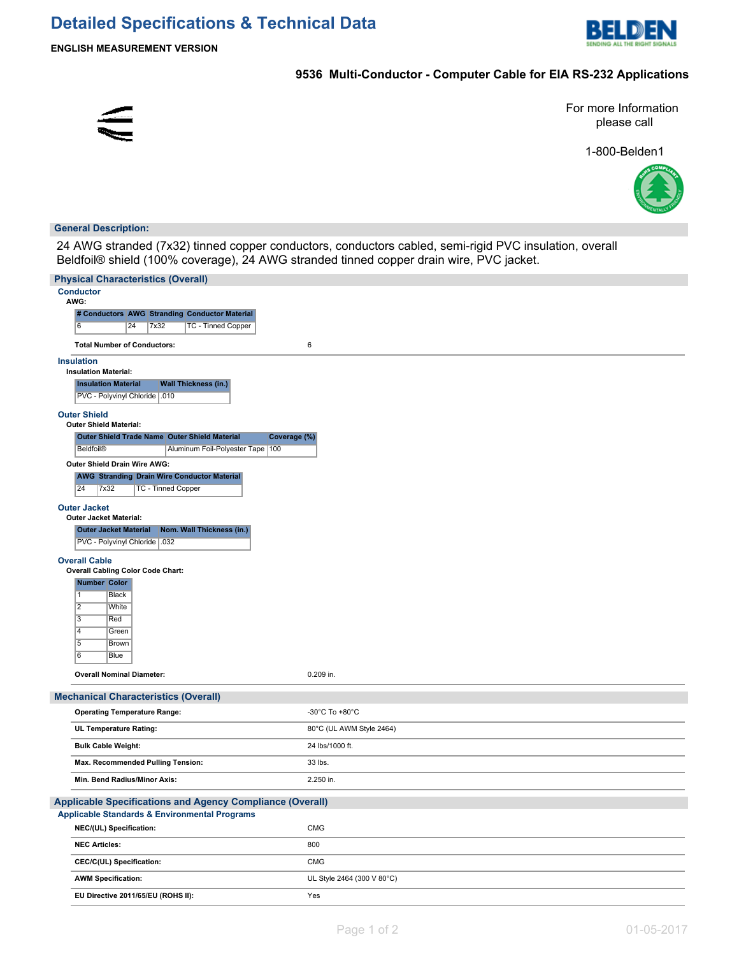

**ENGLISH MEASUREMENT VERSION**

# **9536 Multi-Conductor - Computer Cable for EIA RS-232 Applications**



For more Information please call

1-800-Belden1



# **General Description:**

24 AWG stranded (7x32) tinned copper conductors, conductors cabled, semi-rigid PVC insulation, overall Beldfoil® shield (100% coverage), 24 AWG stranded tinned copper drain wire, PVC jacket.

| <b>Physical Characteristics (Overall)</b>                                                      |                            |
|------------------------------------------------------------------------------------------------|----------------------------|
| <b>Conductor</b><br>AWG:                                                                       |                            |
| # Conductors AWG Stranding Conductor Material                                                  |                            |
| 6<br>$\overline{24}$<br><b>TC - Tinned Copper</b><br>7x32                                      |                            |
| 6<br><b>Total Number of Conductors:</b>                                                        |                            |
| <b>Insulation</b><br><b>Insulation Material:</b>                                               |                            |
| <b>Wall Thickness (in.)</b><br><b>Insulation Material</b>                                      |                            |
| PVC - Polyvinyl Chloride   .010                                                                |                            |
| <b>Outer Shield</b>                                                                            |                            |
| <b>Outer Shield Material:</b><br>Outer Shield Trade Name Outer Shield Material<br>Coverage (%) |                            |
| Beldfoil®<br>Aluminum Foil-Polyester Tape   100                                                |                            |
| Outer Shield Drain Wire AWG:                                                                   |                            |
| <b>AWG Stranding Drain Wire Conductor Material</b>                                             |                            |
| 24<br>7x32<br><b>TC - Tinned Copper</b>                                                        |                            |
| <b>Outer Jacket</b>                                                                            |                            |
| <b>Outer Jacket Material:</b>                                                                  |                            |
| <b>Outer Jacket Material</b><br>Nom. Wall Thickness (in.)                                      |                            |
| PVC - Polyvinyl Chloride   .032                                                                |                            |
| <b>Overall Cable</b>                                                                           |                            |
| <b>Overall Cabling Color Code Chart:</b>                                                       |                            |
| Number Color<br>$\overline{1}$<br><b>Black</b>                                                 |                            |
| $\overline{2}$<br>White                                                                        |                            |
| $\overline{3}$<br>Red                                                                          |                            |
| $\overline{4}$<br>Green                                                                        |                            |
| $\overline{5}$<br>Brown                                                                        |                            |
| 6<br>Blue                                                                                      |                            |
| <b>Overall Nominal Diameter:</b>                                                               | 0.209 in.                  |
| <b>Mechanical Characteristics (Overall)</b>                                                    |                            |
| <b>Operating Temperature Range:</b>                                                            | -30°C To +80°C             |
| UL Temperature Rating:                                                                         | 80°C (UL AWM Style 2464)   |
| <b>Bulk Cable Weight:</b>                                                                      | 24 lbs/1000 ft.            |
| Max. Recommended Pulling Tension:<br>33 lbs.                                                   |                            |
| Min. Bend Radius/Minor Axis:                                                                   | 2.250 in.                  |
| Applicable Specifications and Agency Compliance (Overall)                                      |                            |
| Applicable Standards & Environmental Programs                                                  |                            |
| CMG<br>NEC/(UL) Specification:                                                                 |                            |
| 800<br><b>NEC Articles:</b>                                                                    |                            |
| CMG<br>CEC/C(UL) Specification:                                                                |                            |
| <b>AWM Specification:</b>                                                                      | UL Style 2464 (300 V 80°C) |
| EU Directive 2011/65/EU (ROHS II):<br>Yes                                                      |                            |